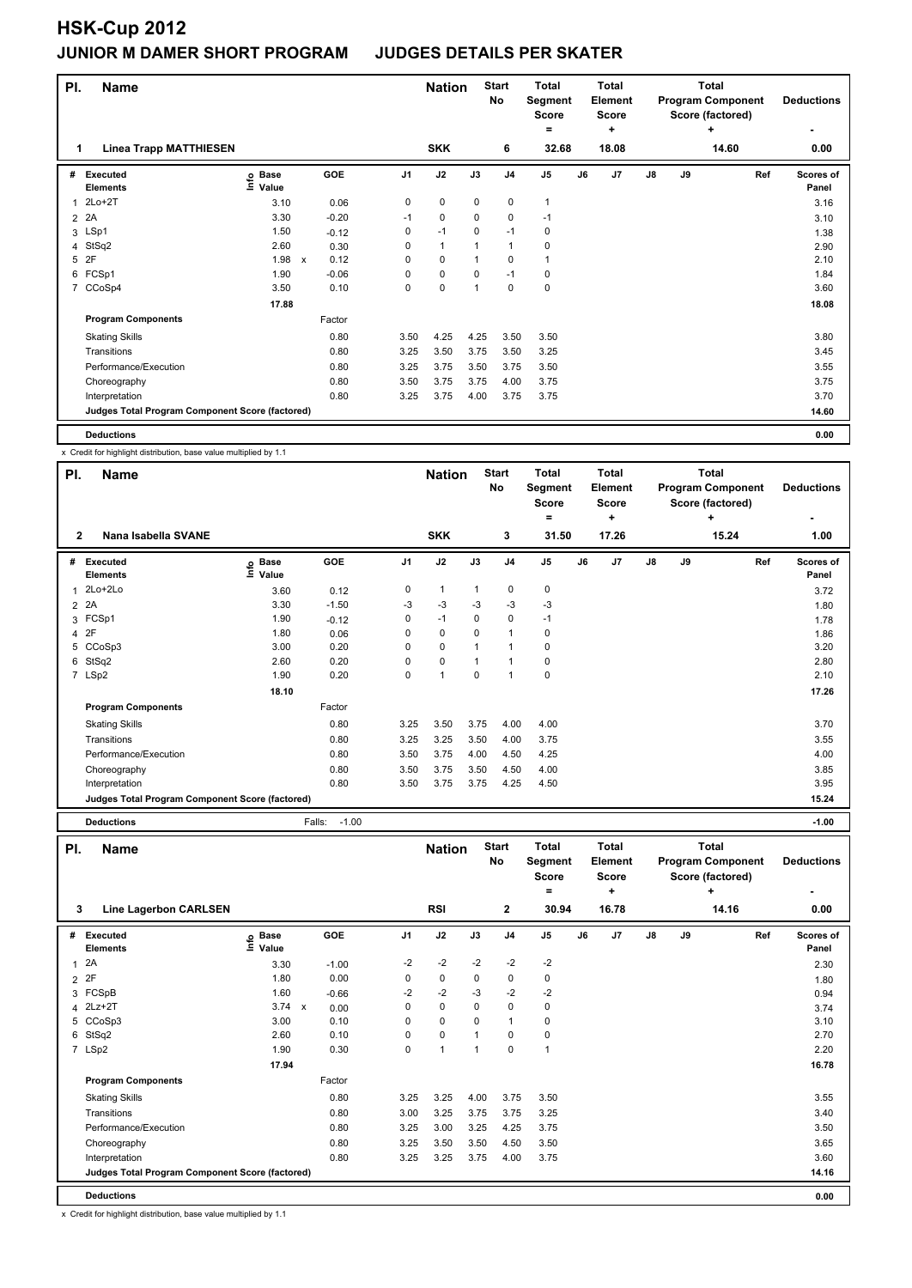| PI.            | <b>Name</b>                                     |                                  |              |            |                | <b>Start</b><br><b>Nation</b><br><b>No</b> |              | <b>Total</b><br>Segment<br><b>Score</b><br>÷<br>= |                | Total<br>Element<br><b>Score</b> |                |    | <b>Total</b><br><b>Program Component</b><br>Score (factored)<br>٠ | <b>Deductions</b> |                    |
|----------------|-------------------------------------------------|----------------------------------|--------------|------------|----------------|--------------------------------------------|--------------|---------------------------------------------------|----------------|----------------------------------|----------------|----|-------------------------------------------------------------------|-------------------|--------------------|
| 1              | <b>Linea Trapp MATTHIESEN</b>                   |                                  |              |            |                | <b>SKK</b>                                 |              | 6                                                 | 32.68          |                                  | 18.08          |    |                                                                   | 14.60             | 0.00               |
| #              | <b>Executed</b><br><b>Elements</b>              | <b>Base</b><br>e Base<br>⊆ Value |              | <b>GOE</b> | J <sub>1</sub> | J2                                         | J3           | J <sub>4</sub>                                    | J <sub>5</sub> | J6                               | J <sub>7</sub> | J8 | J9                                                                | Ref               | Scores of<br>Panel |
| 1              | $2Lo+2T$                                        | 3.10                             |              | 0.06       | 0              | $\mathbf 0$                                | $\mathbf 0$  | $\mathbf 0$                                       | $\mathbf{1}$   |                                  |                |    |                                                                   |                   | 3.16               |
| $\overline{2}$ | 2A                                              | 3.30                             |              | $-0.20$    | $-1$           | 0                                          | 0            | 0                                                 | $-1$           |                                  |                |    |                                                                   |                   | 3.10               |
|                | 3 LSp1                                          | 1.50                             |              | $-0.12$    | 0              | $-1$                                       | $\Omega$     | $-1$                                              | 0              |                                  |                |    |                                                                   |                   | 1.38               |
|                | 4 StSq2                                         | 2.60                             |              | 0.30       | 0              | $\mathbf{1}$                               |              | $\mathbf{1}$                                      | 0              |                                  |                |    |                                                                   |                   | 2.90               |
| 5              | 2F                                              | 1.98                             | $\mathsf{x}$ | 0.12       | 0              | $\pmb{0}$                                  |              | $\mathbf 0$                                       | $\mathbf{1}$   |                                  |                |    |                                                                   |                   | 2.10               |
| 6              | FCSp1                                           | 1.90                             |              | $-0.06$    | 0              | $\pmb{0}$                                  | $\mathbf 0$  | $-1$                                              | 0              |                                  |                |    |                                                                   |                   | 1.84               |
| 7              | CCoSp4                                          | 3.50                             |              | 0.10       | 0              | $\pmb{0}$                                  | $\mathbf{1}$ | $\mathbf 0$                                       | $\pmb{0}$      |                                  |                |    |                                                                   |                   | 3.60               |
|                |                                                 | 17.88                            |              |            |                |                                            |              |                                                   |                |                                  |                |    |                                                                   |                   | 18.08              |
|                | <b>Program Components</b>                       |                                  |              | Factor     |                |                                            |              |                                                   |                |                                  |                |    |                                                                   |                   |                    |
|                | <b>Skating Skills</b>                           |                                  |              | 0.80       | 3.50           | 4.25                                       | 4.25         | 3.50                                              | 3.50           |                                  |                |    |                                                                   |                   | 3.80               |
|                | Transitions                                     |                                  |              | 0.80       | 3.25           | 3.50                                       | 3.75         | 3.50                                              | 3.25           |                                  |                |    |                                                                   |                   | 3.45               |
|                | Performance/Execution                           |                                  |              | 0.80       | 3.25           | 3.75                                       | 3.50         | 3.75                                              | 3.50           |                                  |                |    |                                                                   |                   | 3.55               |
|                | Choreography                                    |                                  |              | 0.80       | 3.50           | 3.75                                       | 3.75         | 4.00                                              | 3.75           |                                  |                |    |                                                                   |                   | 3.75               |
|                | Interpretation                                  |                                  |              | 0.80       | 3.25           | 3.75                                       | 4.00         | 3.75                                              | 3.75           |                                  |                |    |                                                                   |                   | 3.70               |
|                | Judges Total Program Component Score (factored) |                                  |              |            |                |                                            |              |                                                   |                |                                  |                |    |                                                                   |                   | 14.60              |
|                | <b>Deductions</b>                               |                                  |              |            |                |                                            |              |                                                   |                |                                  |                |    |                                                                   |                   | 0.00               |

x Credit for highlight distribution, base value multiplied by 1.1

| PI.          | <b>Name</b>                                     |                            |         |                |                | <b>Nation</b> | <b>Start</b><br>No | <b>Total</b><br>Segment<br><b>Score</b> |    | <b>Total</b><br>Element<br>Score |    |    | <b>Total</b><br><b>Program Component</b><br>Score (factored) | <b>Deductions</b>         |
|--------------|-------------------------------------------------|----------------------------|---------|----------------|----------------|---------------|--------------------|-----------------------------------------|----|----------------------------------|----|----|--------------------------------------------------------------|---------------------------|
|              | Nana Isabella SVANE                             |                            |         |                |                |               |                    | =                                       |    | ٠                                |    |    | ٠                                                            | ۰                         |
| $\mathbf{2}$ |                                                 |                            |         |                | <b>SKK</b>     |               | 3                  | 31.50                                   |    | 17.26                            |    |    | 15.24                                                        | 1.00                      |
| #            | Executed<br><b>Elements</b>                     | e Base<br>E Value<br>Value | GOE     | J <sub>1</sub> | J2             | J3            | J <sub>4</sub>     | J <sub>5</sub>                          | J6 | J7                               | J8 | J9 | Ref                                                          | <b>Scores of</b><br>Panel |
|              | 1 2Lo+2Lo                                       | 3.60                       | 0.12    | 0              | $\mathbf{1}$   | 1             | 0                  | 0                                       |    |                                  |    |    |                                                              | 3.72                      |
|              | 2 2A                                            | 3.30                       | $-1.50$ | $-3$           | $-3$           | $-3$          | $-3$               | $-3$                                    |    |                                  |    |    |                                                              | 1.80                      |
|              | 3 FCSp1                                         | 1.90                       | $-0.12$ | 0              | $-1$           | 0             | 0                  | $-1$                                    |    |                                  |    |    |                                                              | 1.78                      |
|              | 4 2F                                            | 1.80                       | 0.06    | 0              | 0              | 0             | $\overline{1}$     | 0                                       |    |                                  |    |    |                                                              | 1.86                      |
|              | 5 CCoSp3                                        | 3.00                       | 0.20    | 0              | $\mathbf 0$    | 1             | $\overline{1}$     | 0                                       |    |                                  |    |    |                                                              | 3.20                      |
|              | 6 StSq2                                         | 2.60                       | 0.20    | 0              | $\mathbf 0$    | -1            | 1                  | 0                                       |    |                                  |    |    |                                                              | 2.80                      |
|              | 7 LSp2                                          | 1.90                       | 0.20    | 0              | $\overline{1}$ | 0             | 1                  | 0                                       |    |                                  |    |    |                                                              | 2.10                      |
|              |                                                 | 18.10                      |         |                |                |               |                    |                                         |    |                                  |    |    |                                                              | 17.26                     |
|              | <b>Program Components</b>                       |                            | Factor  |                |                |               |                    |                                         |    |                                  |    |    |                                                              |                           |
|              | <b>Skating Skills</b>                           |                            | 0.80    | 3.25           | 3.50           | 3.75          | 4.00               | 4.00                                    |    |                                  |    |    |                                                              | 3.70                      |
|              | Transitions                                     |                            | 0.80    | 3.25           | 3.25           | 3.50          | 4.00               | 3.75                                    |    |                                  |    |    |                                                              | 3.55                      |
|              | Performance/Execution                           |                            | 0.80    | 3.50           | 3.75           | 4.00          | 4.50               | 4.25                                    |    |                                  |    |    |                                                              | 4.00                      |
|              | Choreography                                    |                            | 0.80    | 3.50           | 3.75           | 3.50          | 4.50               | 4.00                                    |    |                                  |    |    |                                                              | 3.85                      |
|              | Interpretation                                  |                            | 0.80    | 3.50           | 3.75           | 3.75          | 4.25               | 4.50                                    |    |                                  |    |    |                                                              | 3.95                      |
|              | Judges Total Program Component Score (factored) |                            |         |                |                |               |                    |                                         |    |                                  |    |    |                                                              | 15.24                     |

**Deductions** Falls: -1.00 **-1.00**

| PI.          | <b>Name</b>                                     |                   |         |                | <b>Nation</b> |      | <b>Start</b><br>No | Total<br>Segment<br><b>Score</b><br>۰ |    | <b>Total</b><br>Element<br><b>Score</b><br>٠ |    |    | Total<br><b>Program Component</b><br>Score (factored)<br>٠ | <b>Deductions</b><br>٠ |  |
|--------------|-------------------------------------------------|-------------------|---------|----------------|---------------|------|--------------------|---------------------------------------|----|----------------------------------------------|----|----|------------------------------------------------------------|------------------------|--|
| 3            | Line Lagerbon CARLSEN                           |                   |         |                | <b>RSI</b>    |      | $\mathbf{2}$       | 30.94                                 |    | 16.78                                        |    |    | 14.16                                                      | 0.00                   |  |
| #            | Executed<br><b>Elements</b>                     | e Base<br>E Value | GOE     | J <sub>1</sub> | J2            | J3   | J <sub>4</sub>     | J <sub>5</sub>                        | J6 | J <sub>7</sub>                               | J8 | J9 | Ref                                                        | Scores of<br>Panel     |  |
| $\mathbf{1}$ | 2A                                              | 3.30              | $-1.00$ | $-2$           | $-2$          | $-2$ | $-2$               | $-2$                                  |    |                                              |    |    |                                                            | 2.30                   |  |
|              | 2 2F                                            | 1.80              | 0.00    | 0              | $\mathbf 0$   | 0    | 0                  | 0                                     |    |                                              |    |    |                                                            | 1.80                   |  |
| 3            | FCSpB                                           | 1.60              | $-0.66$ | $-2$           | $-2$          | -3   | $-2$               | $-2$                                  |    |                                              |    |    |                                                            | 0.94                   |  |
|              | 4 2Lz+2T                                        | $3.74 \times$     | 0.00    | 0              | $\mathbf 0$   | 0    | 0                  | 0                                     |    |                                              |    |    |                                                            | 3.74                   |  |
| 5            | CCoSp3                                          | 3.00              | 0.10    | 0              | $\mathbf 0$   | 0    | $\mathbf{1}$       | 0                                     |    |                                              |    |    |                                                            | 3.10                   |  |
|              | 6 StSq2                                         | 2.60              | 0.10    | 0              | $\mathbf 0$   | 1    | $\Omega$           | $\mathbf 0$                           |    |                                              |    |    |                                                            | 2.70                   |  |
|              | 7 LSp2                                          | 1.90              | 0.30    | 0              | 1             | 1    | 0                  | $\overline{1}$                        |    |                                              |    |    |                                                            | 2.20                   |  |
|              |                                                 | 17.94             |         |                |               |      |                    |                                       |    |                                              |    |    |                                                            | 16.78                  |  |
|              | <b>Program Components</b>                       |                   | Factor  |                |               |      |                    |                                       |    |                                              |    |    |                                                            |                        |  |
|              | <b>Skating Skills</b>                           |                   | 0.80    | 3.25           | 3.25          | 4.00 | 3.75               | 3.50                                  |    |                                              |    |    |                                                            | 3.55                   |  |
|              | Transitions                                     |                   | 0.80    | 3.00           | 3.25          | 3.75 | 3.75               | 3.25                                  |    |                                              |    |    |                                                            | 3.40                   |  |
|              | Performance/Execution                           |                   | 0.80    | 3.25           | 3.00          | 3.25 | 4.25               | 3.75                                  |    |                                              |    |    |                                                            | 3.50                   |  |
|              | Choreography                                    |                   | 0.80    | 3.25           | 3.50          | 3.50 | 4.50               | 3.50                                  |    |                                              |    |    |                                                            | 3.65                   |  |
|              | Interpretation                                  |                   | 0.80    | 3.25           | 3.25          | 3.75 | 4.00               | 3.75                                  |    |                                              |    |    |                                                            | 3.60                   |  |
|              | Judges Total Program Component Score (factored) |                   |         |                |               |      |                    |                                       |    |                                              |    |    |                                                            | 14.16                  |  |
|              | <b>Deductions</b>                               |                   |         |                |               |      |                    |                                       |    |                                              |    |    |                                                            | 0.00                   |  |

x Credit for highlight distribution, base value multiplied by 1.1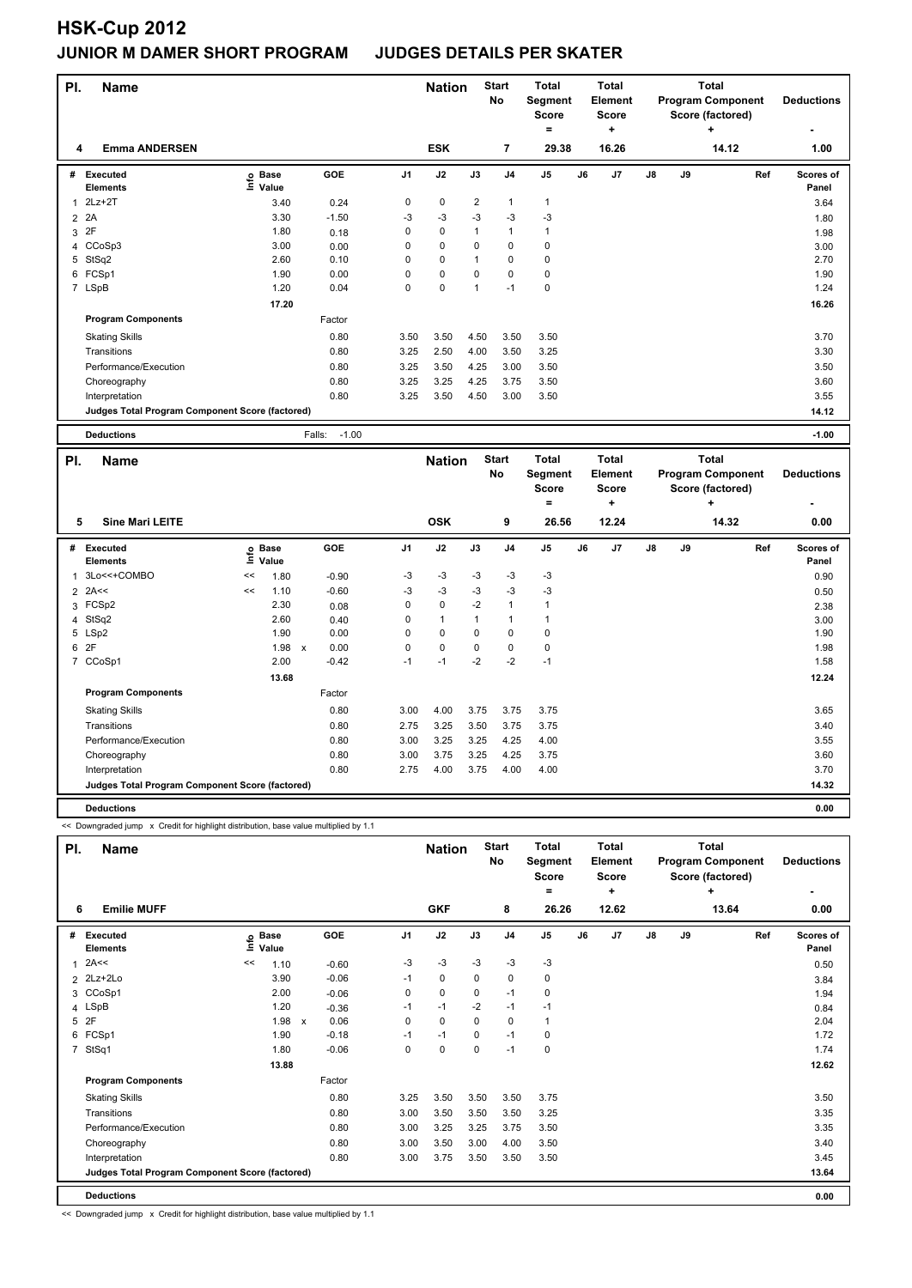| PI.            | <b>Name</b>                                     |                                  |                   | <b>Nation</b>  |               | <b>Start</b>   | <b>Total</b>   | <b>Total</b>        |                   | <b>Total</b> |    |                          |                    |
|----------------|-------------------------------------------------|----------------------------------|-------------------|----------------|---------------|----------------|----------------|---------------------|-------------------|--------------|----|--------------------------|--------------------|
|                |                                                 |                                  |                   |                |               |                | No             | <b>Segment</b>      | Element           |              |    | <b>Program Component</b> | <b>Deductions</b>  |
|                |                                                 |                                  |                   |                |               |                |                | <b>Score</b><br>$=$ | <b>Score</b><br>÷ |              |    | Score (factored)<br>÷    |                    |
| 4              | <b>Emma ANDERSEN</b>                            |                                  |                   |                | <b>ESK</b>    |                | 7              | 29.38               | 16.26             |              |    | 14.12                    | 1.00               |
|                |                                                 |                                  |                   |                |               |                |                |                     |                   |              |    |                          |                    |
| #              | <b>Executed</b><br><b>Elements</b>              | <b>Base</b><br>e Base<br>⊆ Value | <b>GOE</b>        | J <sub>1</sub> | J2            | J3             | J <sub>4</sub> | J <sub>5</sub>      | J6<br>J7          | J8           | J9 | Ref                      | Scores of<br>Panel |
| $\mathbf{1}$   | $2Lz+2T$                                        | 3.40                             | 0.24              | 0              | $\mathbf 0$   | $\overline{2}$ | $\mathbf{1}$   | $\mathbf{1}$        |                   |              |    |                          | 3.64               |
| $\overline{2}$ | 2A                                              | 3.30                             | $-1.50$           | $-3$           | $-3$          | $-3$           | $-3$           | $-3$                |                   |              |    |                          | 1.80               |
|                | 3 2F                                            | 1.80                             | 0.18              | 0              | 0             | $\mathbf{1}$   | $\mathbf{1}$   | $\mathbf{1}$        |                   |              |    |                          | 1.98               |
| 4              | CCoSp3                                          | 3.00                             | 0.00              | 0              | $\mathbf 0$   | 0              | $\mathbf 0$    | $\mathbf 0$         |                   |              |    |                          | 3.00               |
|                | 5 StSq2                                         | 2.60                             | 0.10              | 0              | 0             | 1              | $\mathbf 0$    | $\mathbf 0$         |                   |              |    |                          | 2.70               |
|                | 6 FCSp1                                         | 1.90                             | 0.00              | 0              | 0             | 0              | $\mathbf 0$    | $\pmb{0}$           |                   |              |    |                          | 1.90               |
|                | 7 LSpB                                          | 1.20                             | 0.04              | 0              | $\mathbf 0$   | 1              | $-1$           | $\pmb{0}$           |                   |              |    |                          | 1.24               |
|                |                                                 | 17.20                            |                   |                |               |                |                |                     |                   |              |    |                          | 16.26              |
|                | <b>Program Components</b>                       |                                  | Factor            |                |               |                |                |                     |                   |              |    |                          |                    |
|                | <b>Skating Skills</b>                           |                                  | 0.80              | 3.50           | 3.50          | 4.50           | 3.50           | 3.50                |                   |              |    |                          | 3.70               |
|                | Transitions                                     |                                  | 0.80              | 3.25           | 2.50          | 4.00           | 3.50           | 3.25                |                   |              |    |                          | 3.30               |
|                | Performance/Execution                           |                                  | 0.80              | 3.25           | 3.50          | 4.25           | 3.00           | 3.50                |                   |              |    |                          | 3.50               |
|                | Choreography                                    |                                  | 0.80              | 3.25           | 3.25          | 4.25           | 3.75           | 3.50                |                   |              |    |                          | 3.60               |
|                | Interpretation                                  |                                  | 0.80              | 3.25           | 3.50          | 4.50           | 3.00           | 3.50                |                   |              |    |                          | 3.55               |
|                | Judges Total Program Component Score (factored) |                                  |                   |                |               |                |                |                     |                   |              |    |                          | 14.12              |
|                |                                                 |                                  |                   |                |               |                |                |                     |                   |              |    |                          |                    |
|                |                                                 |                                  |                   |                |               |                |                |                     |                   |              |    |                          |                    |
|                | <b>Deductions</b>                               |                                  | $-1.00$<br>Falls: |                |               |                |                |                     |                   |              |    |                          | $-1.00$            |
| PI.            | <b>Name</b>                                     |                                  |                   |                | <b>Nation</b> |                | <b>Start</b>   | <b>Total</b>        | <b>Total</b>      |              |    | <b>Total</b>             |                    |
|                |                                                 |                                  |                   |                |               |                | No             | Segment             | Element           |              |    | <b>Program Component</b> | <b>Deductions</b>  |
|                |                                                 |                                  |                   |                |               |                |                | <b>Score</b>        | <b>Score</b>      |              |    | Score (factored)         |                    |
|                |                                                 |                                  |                   |                |               |                |                | $=$                 | ÷                 |              |    | ÷                        |                    |
| 5              | <b>Sine Mari LEITE</b>                          |                                  |                   |                | <b>OSK</b>    |                | 9              | 26.56               | 12.24             |              |    | 14.32                    | 0.00               |
|                | # Executed                                      | Base                             | GOE               | J <sub>1</sub> | J2            | J3             | J4             | J <sub>5</sub>      | J6<br>J7          | J8           | J9 | Ref                      | Scores of          |
|                | <b>Elements</b>                                 | e<br>Value                       |                   |                |               |                |                |                     |                   |              |    |                          | Panel              |
| $\mathbf{1}$   | 3Lo<<+COMBO                                     | <<<br>1.80                       | $-0.90$           | $-3$           | $-3$          | -3             | $-3$           | $-3$                |                   |              |    |                          | 0.90               |
| $\overline{2}$ | 2A<<                                            | 1.10<br>$\,<$                    | $-0.60$           | $-3$           | $-3$          | $-3$           | $-3$           | $-3$                |                   |              |    |                          | 0.50               |
| 3              | FCSp2                                           | 2.30                             | 0.08              | $\pmb{0}$      | $\pmb{0}$     | $-2$           | $\mathbf{1}$   | $\mathbf{1}$        |                   |              |    |                          | 2.38               |
| 4              | StSq2                                           | 2.60                             | 0.40              | 0              | $\mathbf{1}$  | $\mathbf{1}$   | $\mathbf{1}$   | $\mathbf{1}$        |                   |              |    |                          | 3.00               |
|                | 5 LSp2                                          | 1.90                             | 0.00              | 0              | $\mathbf 0$   | 0              | $\mathbf 0$    | $\mathbf 0$         |                   |              |    |                          | 1.90               |
|                | 6 2F                                            | 1.98<br>$\mathbf{x}$             | 0.00              | 0              | 0             | 0              | 0              | $\pmb{0}$           |                   |              |    |                          | 1.98               |
|                | 7 CCoSp1                                        | 2.00                             | $-0.42$           | $-1$           | $-1$          | $-2$           | $-2$           | $-1$                |                   |              |    |                          | 1.58               |
|                |                                                 | 13.68                            |                   |                |               |                |                |                     |                   |              |    |                          | 12.24              |
|                | <b>Program Components</b>                       |                                  | Factor            |                |               |                |                |                     |                   |              |    |                          |                    |
|                | <b>Skating Skills</b>                           |                                  | 0.80              | 3.00           | 4.00          | 3.75           | 3.75           | 3.75                |                   |              |    |                          | 3.65               |

<< Downgraded jump x Credit for highlight distribution, base value multiplied by 1.1

| PI.            | <b>Name</b>                                     |                              |              |         |                | <b>Nation</b> |             | <b>Start</b><br><b>No</b> | <b>Total</b><br>Segment<br><b>Score</b><br>= |    | <b>Total</b><br>Element<br><b>Score</b><br>÷ |               |    | <b>Total</b><br><b>Program Component</b><br>Score (factored)<br>÷ | <b>Deductions</b>  |
|----------------|-------------------------------------------------|------------------------------|--------------|---------|----------------|---------------|-------------|---------------------------|----------------------------------------------|----|----------------------------------------------|---------------|----|-------------------------------------------------------------------|--------------------|
| 6              | <b>Emilie MUFF</b>                              |                              |              |         |                | <b>GKF</b>    |             | 8                         | 26.26                                        |    | 12.62                                        |               |    | 13.64                                                             | 0.00               |
| #              | <b>Executed</b><br><b>Elements</b>              | <b>Base</b><br>١nfo<br>Value |              | GOE     | J <sub>1</sub> | J2            | J3          | J <sub>4</sub>            | J <sub>5</sub>                               | J6 | J7                                           | $\mathsf{J}8$ | J9 | Ref                                                               | Scores of<br>Panel |
| $\mathbf{1}$   | 2A<<                                            | <<<br>1.10                   |              | $-0.60$ | $-3$           | $-3$          | $-3$        | $-3$                      | $-3$                                         |    |                                              |               |    |                                                                   | 0.50               |
|                | 2 2Lz+2Lo                                       | 3.90                         |              | $-0.06$ | $-1$           | $\mathbf 0$   | 0           | $\mathbf 0$               | 0                                            |    |                                              |               |    |                                                                   | 3.84               |
|                | 3 CCoSp1                                        | 2.00                         |              | $-0.06$ | 0              | $\mathbf 0$   | $\Omega$    | $-1$                      | 0                                            |    |                                              |               |    |                                                                   | 1.94               |
|                | 4 LSpB                                          | 1.20                         |              | $-0.36$ | $-1$           | $-1$          | $-2$        | $-1$                      | $-1$                                         |    |                                              |               |    |                                                                   | 0.84               |
| 5              | 2F                                              | 1.98                         | $\mathsf{x}$ | 0.06    | 0              | $\mathbf 0$   | $\mathbf 0$ | $\mathbf 0$               | $\mathbf{1}$                                 |    |                                              |               |    |                                                                   | 2.04               |
| 6              | FCSp1                                           | 1.90                         |              | $-0.18$ | $-1$           | $-1$          | 0           | $-1$                      | 0                                            |    |                                              |               |    |                                                                   | 1.72               |
| $\overline{7}$ | StSq1                                           | 1.80                         |              | $-0.06$ | 0              | $\pmb{0}$     | 0           | $-1$                      | 0                                            |    |                                              |               |    |                                                                   | 1.74               |
|                |                                                 | 13.88                        |              |         |                |               |             |                           |                                              |    |                                              |               |    |                                                                   | 12.62              |
|                | <b>Program Components</b>                       |                              |              | Factor  |                |               |             |                           |                                              |    |                                              |               |    |                                                                   |                    |
|                | <b>Skating Skills</b>                           |                              |              | 0.80    | 3.25           | 3.50          | 3.50        | 3.50                      | 3.75                                         |    |                                              |               |    |                                                                   | 3.50               |
|                | Transitions                                     |                              |              | 0.80    | 3.00           | 3.50          | 3.50        | 3.50                      | 3.25                                         |    |                                              |               |    |                                                                   | 3.35               |
|                | Performance/Execution                           |                              |              | 0.80    | 3.00           | 3.25          | 3.25        | 3.75                      | 3.50                                         |    |                                              |               |    |                                                                   | 3.35               |
|                | Choreography                                    |                              |              | 0.80    | 3.00           | 3.50          | 3.00        | 4.00                      | 3.50                                         |    |                                              |               |    |                                                                   | 3.40               |
|                | Interpretation                                  |                              |              | 0.80    | 3.00           | 3.75          | 3.50        | 3.50                      | 3.50                                         |    |                                              |               |    |                                                                   | 3.45               |
|                | Judges Total Program Component Score (factored) |                              |              |         |                |               |             |                           |                                              |    |                                              |               |    |                                                                   | 13.64              |
|                | <b>Deductions</b>                               |                              |              |         |                |               |             |                           |                                              |    |                                              |               |    |                                                                   | 0.00               |

Performance/Execution 0.80 3.00 3.25 3.25 4.25 4.00 3.55 Choreography 0.80 3.00 3.75 3.25 4.25 3.75 3.60 Interpretation 0.80 2.75 4.00 3.75 4.00 4.00 3.75 4.00 3.70 3.70

**Deductions 0.00 Judges Total Program Component Score (factored) 14.32**

<< Downgraded jump x Credit for highlight distribution, base value multiplied by 1.1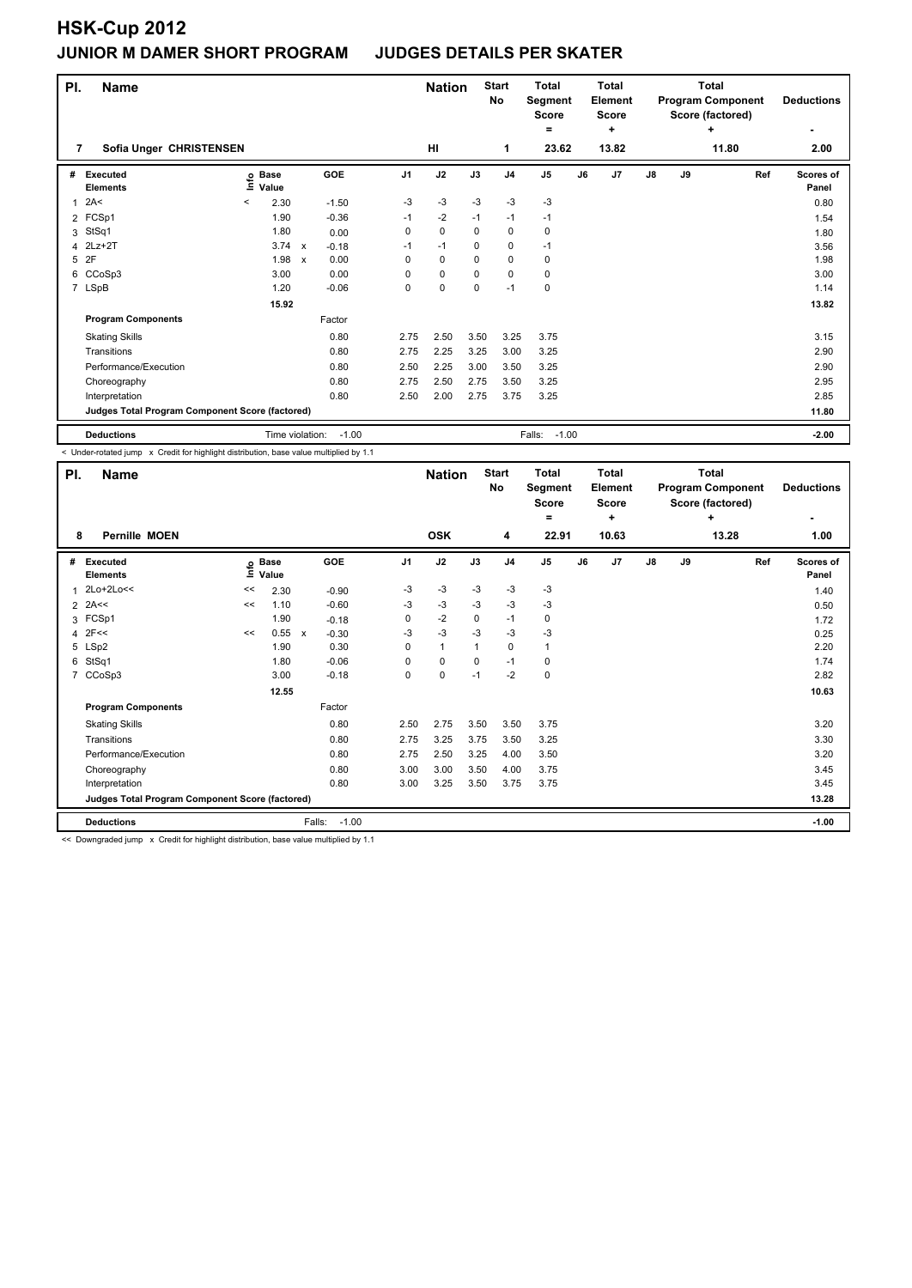| PI.            | <b>Name</b>                                     |       |                      |                           |         |                | <b>Nation</b> |             | <b>Start</b><br><b>No</b> | Total<br>Segment<br><b>Score</b> |    | <b>Total</b><br>Element<br><b>Score</b> |    |    | Total<br><b>Program Component</b><br>Score (factored) | <b>Deductions</b>  |
|----------------|-------------------------------------------------|-------|----------------------|---------------------------|---------|----------------|---------------|-------------|---------------------------|----------------------------------|----|-----------------------------------------|----|----|-------------------------------------------------------|--------------------|
| 7              | Sofia Unger CHRISTENSEN                         |       |                      |                           |         |                | HI            |             | 1                         | $=$<br>23.62                     |    | ÷<br>13.82                              |    |    | ٠<br>11.80                                            | ٠<br>2.00          |
| #              | Executed<br><b>Elements</b>                     | ١nfo  | <b>Base</b><br>Value |                           | GOE     | J <sub>1</sub> | J2            | J3          | J <sub>4</sub>            | J <sub>5</sub>                   | J6 | J <sub>7</sub>                          | J8 | J9 | Ref                                                   | Scores of<br>Panel |
| 1              | 2A<                                             | $\,<$ | 2.30                 |                           | $-1.50$ | $-3$           | $-3$          | $-3$        | $-3$                      | $-3$                             |    |                                         |    |    |                                                       | 0.80               |
| $\overline{2}$ | FCSp1                                           |       | 1.90                 |                           | $-0.36$ | $-1$           | $-2$          | $-1$        | $-1$                      | $-1$                             |    |                                         |    |    |                                                       | 1.54               |
| 3              | StSq1                                           |       | 1.80                 |                           | 0.00    | 0              | $\pmb{0}$     | 0           | $\pmb{0}$                 | 0                                |    |                                         |    |    |                                                       | 1.80               |
| 4              | $2Lz+2T$                                        |       | 3.74                 | $\mathsf{x}$              | $-0.18$ | $-1$           | $-1$          | 0           | 0                         | $-1$                             |    |                                         |    |    |                                                       | 3.56               |
| 5              | 2F                                              |       | 1.98                 | $\boldsymbol{\mathsf{x}}$ | 0.00    | 0              | 0             | 0           | 0                         | 0                                |    |                                         |    |    |                                                       | 1.98               |
| 6              | CCoSp3                                          |       | 3.00                 |                           | 0.00    | 0              | $\mathbf 0$   | 0           | 0                         | 0                                |    |                                         |    |    |                                                       | 3.00               |
|                | 7 LSpB                                          |       | 1.20                 |                           | $-0.06$ | 0              | $\pmb{0}$     | $\mathbf 0$ | $-1$                      | 0                                |    |                                         |    |    |                                                       | 1.14               |
|                |                                                 |       | 15.92                |                           |         |                |               |             |                           |                                  |    |                                         |    |    |                                                       | 13.82              |
|                | <b>Program Components</b>                       |       |                      |                           | Factor  |                |               |             |                           |                                  |    |                                         |    |    |                                                       |                    |
|                | <b>Skating Skills</b>                           |       |                      |                           | 0.80    | 2.75           | 2.50          | 3.50        | 3.25                      | 3.75                             |    |                                         |    |    |                                                       | 3.15               |
|                | Transitions                                     |       |                      |                           | 0.80    | 2.75           | 2.25          | 3.25        | 3.00                      | 3.25                             |    |                                         |    |    |                                                       | 2.90               |
|                | Performance/Execution                           |       |                      |                           | 0.80    | 2.50           | 2.25          | 3.00        | 3.50                      | 3.25                             |    |                                         |    |    |                                                       | 2.90               |
|                | Choreography                                    |       |                      |                           | 0.80    | 2.75           | 2.50          | 2.75        | 3.50                      | 3.25                             |    |                                         |    |    |                                                       | 2.95               |
|                | Interpretation                                  |       |                      |                           | 0.80    | 2.50           | 2.00          | 2.75        | 3.75                      | 3.25                             |    |                                         |    |    |                                                       | 2.85               |
|                | Judges Total Program Component Score (factored) |       |                      |                           |         |                |               |             |                           |                                  |    |                                         |    |    |                                                       | 11.80              |
|                | <b>Deductions</b>                               |       | Time violation:      |                           | $-1.00$ |                |               |             |                           | $-1.00$<br>Falls:                |    |                                         |    |    |                                                       | $-2.00$            |

< Under-rotated jump x Credit for highlight distribution, base value multiplied by 1.1

| PI.            | <b>Name</b>                                     |    | <b>Start</b><br><b>Nation</b><br>No |                         | <b>Total</b><br><b>Total</b><br>Segment<br><b>Element</b><br><b>Score</b><br><b>Score</b><br>÷<br>= |              |             | <b>Total</b><br><b>Program Component</b><br>Score (factored) | <b>Deductions</b> |    |                |    |    |       |                           |
|----------------|-------------------------------------------------|----|-------------------------------------|-------------------------|-----------------------------------------------------------------------------------------------------|--------------|-------------|--------------------------------------------------------------|-------------------|----|----------------|----|----|-------|---------------------------|
| 8              | <b>Pernille MOEN</b>                            |    |                                     |                         |                                                                                                     | <b>OSK</b>   |             | 4                                                            | 22.91             |    | 10.63          |    |    | 13.28 | 1.00                      |
| #              | <b>Executed</b><br><b>Elements</b>              |    | e Base<br>E Value                   | GOE                     | J <sub>1</sub>                                                                                      | J2           | J3          | J <sub>4</sub>                                               | J <sub>5</sub>    | J6 | J <sub>7</sub> | J8 | J9 | Ref   | <b>Scores of</b><br>Panel |
| 1              | 2Lo+2Lo<<                                       | << | 2.30                                | $-0.90$                 | $-3$                                                                                                | $-3$         | $-3$        | $-3$                                                         | $-3$              |    |                |    |    |       | 1.40                      |
| 2              | 2A<<                                            | << | 1.10                                | $-0.60$                 | $-3$                                                                                                | $-3$         | $-3$        | $-3$                                                         | $-3$              |    |                |    |    |       | 0.50                      |
| 3              | FCSp1                                           |    | 1.90                                | $-0.18$                 | 0                                                                                                   | $-2$         | 0           | $-1$                                                         | 0                 |    |                |    |    |       | 1.72                      |
| 4              | 2F<<                                            | << | 0.55                                | $-0.30$<br>$\mathsf{x}$ | $-3$                                                                                                | $-3$         | $-3$        | $-3$                                                         | $-3$              |    |                |    |    |       | 0.25                      |
|                | 5 LSp2                                          |    | 1.90                                | 0.30                    | 0                                                                                                   | $\mathbf{1}$ | $\mathbf 1$ | $\mathbf 0$                                                  | 1                 |    |                |    |    |       | 2.20                      |
| 6              | StSq1                                           |    | 1.80                                | $-0.06$                 | 0                                                                                                   | $\mathbf 0$  | 0           | $-1$                                                         | 0                 |    |                |    |    |       | 1.74                      |
| $\overline{7}$ | CCoSp3                                          |    | 3.00                                | $-0.18$                 | 0                                                                                                   | $\mathbf 0$  | $-1$        | $-2$                                                         | 0                 |    |                |    |    |       | 2.82                      |
|                |                                                 |    | 12.55                               |                         |                                                                                                     |              |             |                                                              |                   |    |                |    |    |       | 10.63                     |
|                | <b>Program Components</b>                       |    |                                     | Factor                  |                                                                                                     |              |             |                                                              |                   |    |                |    |    |       |                           |
|                | <b>Skating Skills</b>                           |    |                                     | 0.80                    | 2.50                                                                                                | 2.75         | 3.50        | 3.50                                                         | 3.75              |    |                |    |    |       | 3.20                      |
|                | Transitions                                     |    |                                     | 0.80                    | 2.75                                                                                                | 3.25         | 3.75        | 3.50                                                         | 3.25              |    |                |    |    |       | 3.30                      |
|                | Performance/Execution                           |    |                                     | 0.80                    | 2.75                                                                                                | 2.50         | 3.25        | 4.00                                                         | 3.50              |    |                |    |    |       | 3.20                      |
|                | Choreography                                    |    |                                     | 0.80                    | 3.00                                                                                                | 3.00         | 3.50        | 4.00                                                         | 3.75              |    |                |    |    |       | 3.45                      |
|                | Interpretation                                  |    |                                     | 0.80                    | 3.00                                                                                                | 3.25         | 3.50        | 3.75                                                         | 3.75              |    |                |    |    |       | 3.45                      |
|                | Judges Total Program Component Score (factored) |    |                                     |                         |                                                                                                     |              |             |                                                              |                   |    |                |    |    |       | 13.28                     |
|                | <b>Deductions</b>                               |    |                                     | $-1.00$<br>Falls:       |                                                                                                     |              |             |                                                              |                   |    |                |    |    |       | $-1.00$                   |

<< Downgraded jump x Credit for highlight distribution, base value multiplied by 1.1